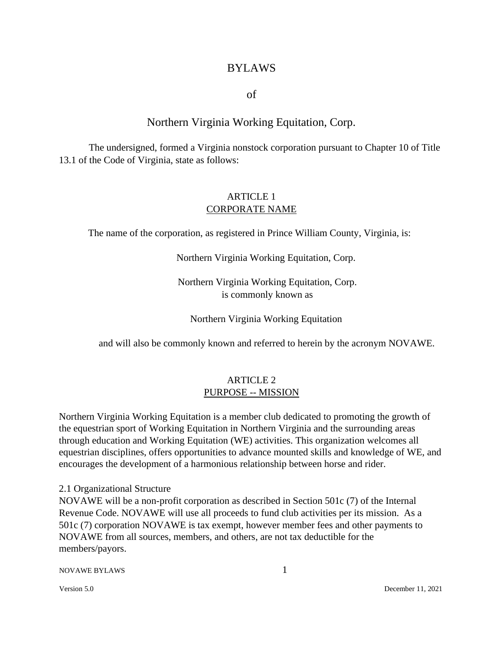# BYLAWS

of

# Northern Virginia Working Equitation, Corp.

The undersigned, formed a Virginia nonstock corporation pursuant to Chapter 10 of Title 13.1 of the Code of Virginia, state as follows:

# ARTICLE 1 CORPORATE NAME

The name of the corporation, as registered in Prince William County, Virginia, is:

Northern Virginia Working Equitation, Corp.

Northern Virginia Working Equitation, Corp. is commonly known as

Northern Virginia Working Equitation

and will also be commonly known and referred to herein by the acronym NOVAWE.

### ARTICLE 2 PURPOSE -- MISSION

Northern Virginia Working Equitation is a member club dedicated to promoting the growth of the equestrian sport of Working Equitation in Northern Virginia and the surrounding areas through education and Working Equitation (WE) activities. This organization welcomes all equestrian disciplines, offers opportunities to advance mounted skills and knowledge of WE, and encourages the development of a harmonious relationship between horse and rider.

#### 2.1 Organizational Structure

NOVAWE will be a non-profit corporation as described in Section 501c (7) of the Internal Revenue Code. NOVAWE will use all proceeds to fund club activities per its mission. As a 501c (7) corporation NOVAWE is tax exempt, however member fees and other payments to NOVAWE from all sources, members, and others, are not tax deductible for the members/payors.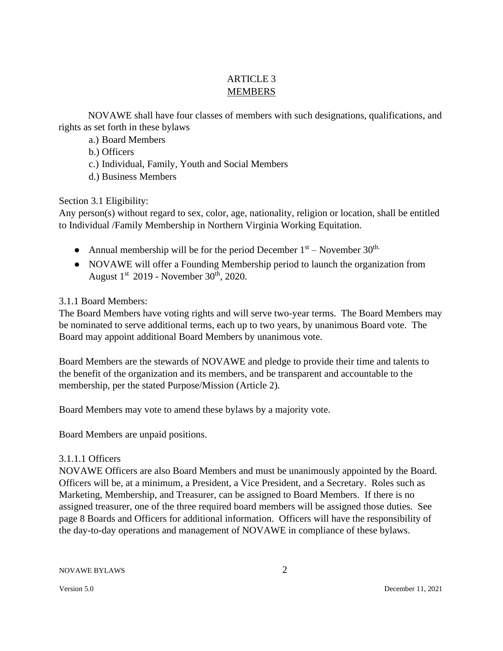# ARTICLE 3 MEMBERS

NOVAWE shall have four classes of members with such designations, qualifications, and rights as set forth in these bylaws

a.) Board Members

b.) Officers

c.) Individual, Family, Youth and Social Members

d.) Business Members

Section 3.1 Eligibility:

Any person(s) without regard to sex, color, age, nationality, religion or location, shall be entitled to Individual /Family Membership in Northern Virginia Working Equitation.

- Annual membership will be for the period December  $1<sup>st</sup>$  November  $30<sup>th</sup>$ .
- NOVAWE will offer a Founding Membership period to launch the organization from August  $1<sup>st</sup>$  2019 - November 30<sup>th</sup>, 2020.

3.1.1 Board Members:

The Board Members have voting rights and will serve two-year terms. The Board Members may be nominated to serve additional terms, each up to two years, by unanimous Board vote. The Board may appoint additional Board Members by unanimous vote.

Board Members are the stewards of NOVAWE and pledge to provide their time and talents to the benefit of the organization and its members, and be transparent and accountable to the membership, per the stated Purpose/Mission (Article 2).

Board Members may vote to amend these bylaws by a majority vote.

Board Members are unpaid positions.

# 3.1.1.1 Officers

NOVAWE Officers are also Board Members and must be unanimously appointed by the Board. Officers will be, at a minimum, a President, a Vice President, and a Secretary. Roles such as Marketing, Membership, and Treasurer, can be assigned to Board Members. If there is no assigned treasurer, one of the three required board members will be assigned those duties. See page 8 Boards and Officers for additional information. Officers will have the responsibility of the day-to-day operations and management of NOVAWE in compliance of these bylaws.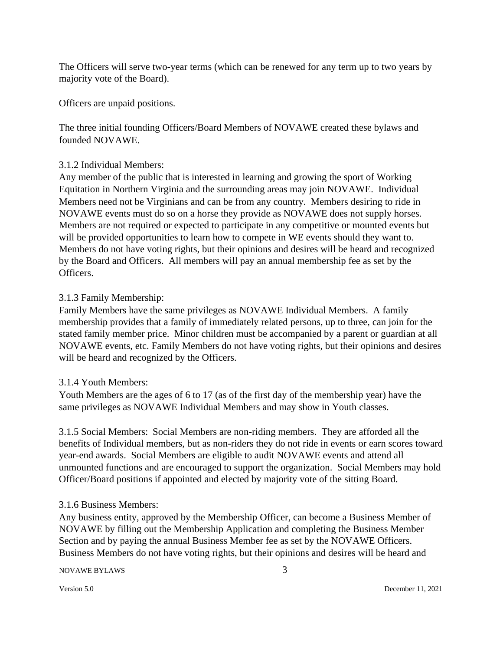The Officers will serve two-year terms (which can be renewed for any term up to two years by majority vote of the Board).

Officers are unpaid positions.

The three initial founding Officers/Board Members of NOVAWE created these bylaws and founded NOVAWE.

### 3.1.2 Individual Members:

Any member of the public that is interested in learning and growing the sport of Working Equitation in Northern Virginia and the surrounding areas may join NOVAWE. Individual Members need not be Virginians and can be from any country. Members desiring to ride in NOVAWE events must do so on a horse they provide as NOVAWE does not supply horses. Members are not required or expected to participate in any competitive or mounted events but will be provided opportunities to learn how to compete in WE events should they want to. Members do not have voting rights, but their opinions and desires will be heard and recognized by the Board and Officers. All members will pay an annual membership fee as set by the Officers.

### 3.1.3 Family Membership:

Family Members have the same privileges as NOVAWE Individual Members. A family membership provides that a family of immediately related persons, up to three, can join for the stated family member price. Minor children must be accompanied by a parent or guardian at all NOVAWE events, etc. Family Members do not have voting rights, but their opinions and desires will be heard and recognized by the Officers.

### 3.1.4 Youth Members:

Youth Members are the ages of 6 to 17 (as of the first day of the membership year) have the same privileges as NOVAWE Individual Members and may show in Youth classes.

3.1.5 Social Members: Social Members are non-riding members. They are afforded all the benefits of Individual members, but as non-riders they do not ride in events or earn scores toward year-end awards. Social Members are eligible to audit NOVAWE events and attend all unmounted functions and are encouraged to support the organization. Social Members may hold Officer/Board positions if appointed and elected by majority vote of the sitting Board.

### 3.1.6 Business Members:

Any business entity, approved by the Membership Officer, can become a Business Member of NOVAWE by filling out the Membership Application and completing the Business Member Section and by paying the annual Business Member fee as set by the NOVAWE Officers. Business Members do not have voting rights, but their opinions and desires will be heard and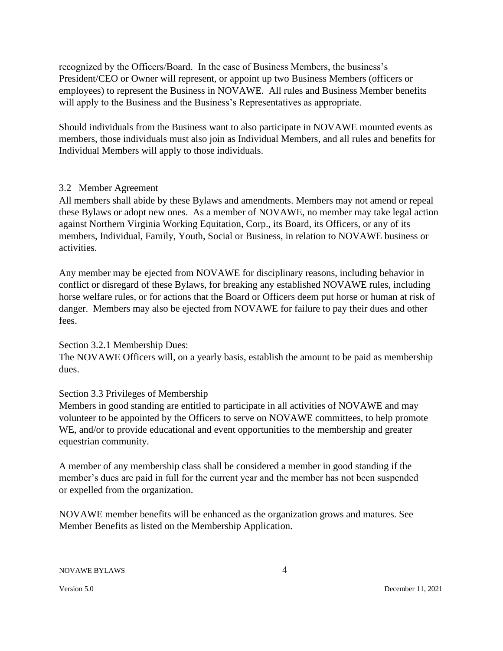recognized by the Officers/Board. In the case of Business Members, the business's President/CEO or Owner will represent, or appoint up two Business Members (officers or employees) to represent the Business in NOVAWE. All rules and Business Member benefits will apply to the Business and the Business's Representatives as appropriate.

Should individuals from the Business want to also participate in NOVAWE mounted events as members, those individuals must also join as Individual Members, and all rules and benefits for Individual Members will apply to those individuals.

### 3.2 Member Agreement

All members shall abide by these Bylaws and amendments. Members may not amend or repeal these Bylaws or adopt new ones. As a member of NOVAWE, no member may take legal action against Northern Virginia Working Equitation, Corp., its Board, its Officers, or any of its members, Individual, Family, Youth, Social or Business, in relation to NOVAWE business or activities.

Any member may be ejected from NOVAWE for disciplinary reasons, including behavior in conflict or disregard of these Bylaws, for breaking any established NOVAWE rules, including horse welfare rules, or for actions that the Board or Officers deem put horse or human at risk of danger. Members may also be ejected from NOVAWE for failure to pay their dues and other fees.

### Section 3.2.1 Membership Dues:

The NOVAWE Officers will, on a yearly basis, establish the amount to be paid as membership dues.

# Section 3.3 Privileges of Membership

Members in good standing are entitled to participate in all activities of NOVAWE and may volunteer to be appointed by the Officers to serve on NOVAWE committees, to help promote WE, and/or to provide educational and event opportunities to the membership and greater equestrian community.

A member of any membership class shall be considered a member in good standing if the member's dues are paid in full for the current year and the member has not been suspended or expelled from the organization.

NOVAWE member benefits will be enhanced as the organization grows and matures. See Member Benefits as listed on the Membership Application.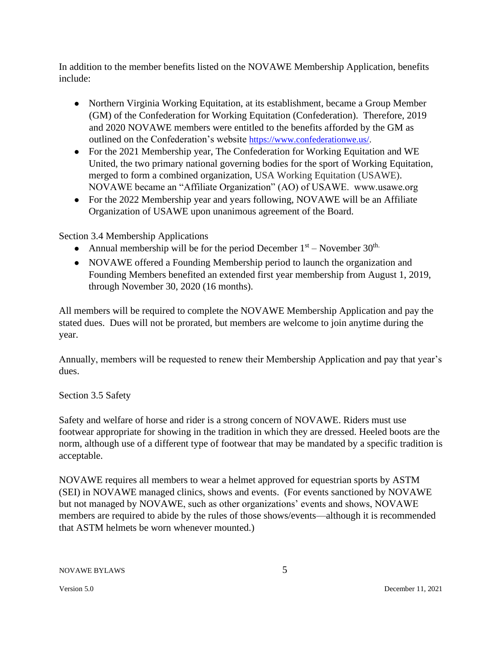In addition to the member benefits listed on the NOVAWE Membership Application, benefits include:

- Northern Virginia Working Equitation, at its establishment, became a Group Member (GM) of the Confederation for Working Equitation (Confederation). Therefore, 2019 and 2020 NOVAWE members were entitled to the benefits afforded by the GM as outlined on the Confederation's website https://www.confederationwe.us/.
- For the 2021 Membership year, The Confederation for Working Equitation and WE United, the two primary national governing bodies for the sport of Working Equitation, merged to form a combined organization, USA Working Equitation (USAWE). NOVAWE became an "Affiliate Organization" (AO) of USAWE. www.usawe.org
- For the 2022 Membership year and years following, NOVAWE will be an Affiliate Organization of USAWE upon unanimous agreement of the Board.

Section 3.4 Membership Applications

- Annual membership will be for the period December  $1<sup>st</sup>$  November  $30<sup>th</sup>$ .
- NOVAWE offered a Founding Membership period to launch the organization and Founding Members benefited an extended first year membership from August 1, 2019, through November 30, 2020 (16 months).

All members will be required to complete the NOVAWE Membership Application and pay the stated dues. Dues will not be prorated, but members are welcome to join anytime during the year.

Annually, members will be requested to renew their Membership Application and pay that year's dues.

Section 3.5 Safety

Safety and welfare of horse and rider is a strong concern of NOVAWE. Riders must use footwear appropriate for showing in the tradition in which they are dressed. Heeled boots are the norm, although use of a different type of footwear that may be mandated by a specific tradition is acceptable.

NOVAWE requires all members to wear a helmet approved for equestrian sports by ASTM (SEI) in NOVAWE managed clinics, shows and events. (For events sanctioned by NOVAWE but not managed by NOVAWE, such as other organizations' events and shows, NOVAWE members are required to abide by the rules of those shows/events—although it is recommended that ASTM helmets be worn whenever mounted.)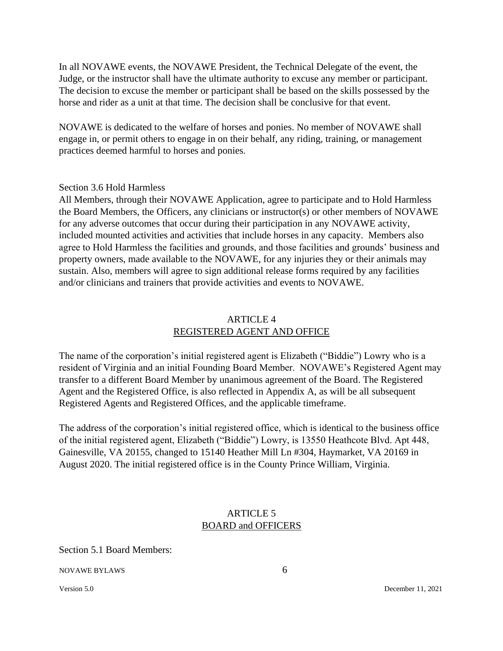In all NOVAWE events, the NOVAWE President, the Technical Delegate of the event, the Judge, or the instructor shall have the ultimate authority to excuse any member or participant. The decision to excuse the member or participant shall be based on the skills possessed by the horse and rider as a unit at that time. The decision shall be conclusive for that event.

NOVAWE is dedicated to the welfare of horses and ponies. No member of NOVAWE shall engage in, or permit others to engage in on their behalf, any riding, training, or management practices deemed harmful to horses and ponies.

### Section 3.6 Hold Harmless

All Members, through their NOVAWE Application, agree to participate and to Hold Harmless the Board Members, the Officers, any clinicians or instructor(s) or other members of NOVAWE for any adverse outcomes that occur during their participation in any NOVAWE activity, included mounted activities and activities that include horses in any capacity. Members also agree to Hold Harmless the facilities and grounds, and those facilities and grounds' business and property owners, made available to the NOVAWE, for any injuries they or their animals may sustain. Also, members will agree to sign additional release forms required by any facilities and/or clinicians and trainers that provide activities and events to NOVAWE.

### ARTICLE 4 REGISTERED AGENT AND OFFICE

The name of the corporation's initial registered agent is Elizabeth ("Biddie") Lowry who is a resident of Virginia and an initial Founding Board Member. NOVAWE's Registered Agent may transfer to a different Board Member by unanimous agreement of the Board. The Registered Agent and the Registered Office, is also reflected in Appendix A, as will be all subsequent Registered Agents and Registered Offices, and the applicable timeframe.

The address of the corporation's initial registered office, which is identical to the business office of the initial registered agent, Elizabeth ("Biddie") Lowry, is 13550 Heathcote Blvd. Apt 448, Gainesville, VA 20155, changed to 15140 Heather Mill Ln #304, Haymarket, VA 20169 in August 2020. The initial registered office is in the County Prince William, Virginia.

# ARTICLE 5 BOARD and OFFICERS

Section 5.1 Board Members: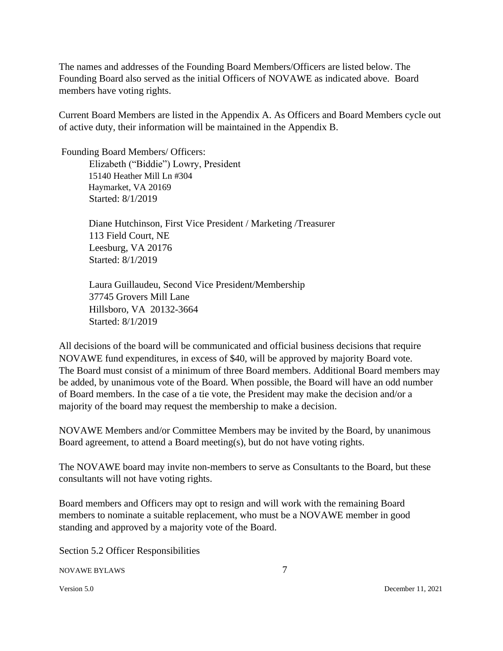The names and addresses of the Founding Board Members/Officers are listed below. The Founding Board also served as the initial Officers of NOVAWE as indicated above. Board members have voting rights.

Current Board Members are listed in the Appendix A. As Officers and Board Members cycle out of active duty, their information will be maintained in the Appendix B.

Founding Board Members/ Officers:

Elizabeth ("Biddie") Lowry, President 15140 Heather Mill Ln #304 Haymarket, VA 20169 Started: 8/1/2019

Diane Hutchinson, First Vice President / Marketing /Treasurer 113 Field Court, NE Leesburg, VA 20176 Started: 8/1/2019

Laura Guillaudeu, Second Vice President/Membership 37745 Grovers Mill Lane Hillsboro, VA 20132-3664 Started: 8/1/2019

All decisions of the board will be communicated and official business decisions that require NOVAWE fund expenditures, in excess of \$40, will be approved by majority Board vote. The Board must consist of a minimum of three Board members. Additional Board members may be added, by unanimous vote of the Board. When possible, the Board will have an odd number of Board members. In the case of a tie vote, the President may make the decision and/or a majority of the board may request the membership to make a decision.

NOVAWE Members and/or Committee Members may be invited by the Board, by unanimous Board agreement, to attend a Board meeting(s), but do not have voting rights.

The NOVAWE board may invite non-members to serve as Consultants to the Board, but these consultants will not have voting rights.

Board members and Officers may opt to resign and will work with the remaining Board members to nominate a suitable replacement, who must be a NOVAWE member in good standing and approved by a majority vote of the Board.

Section 5.2 Officer Responsibilities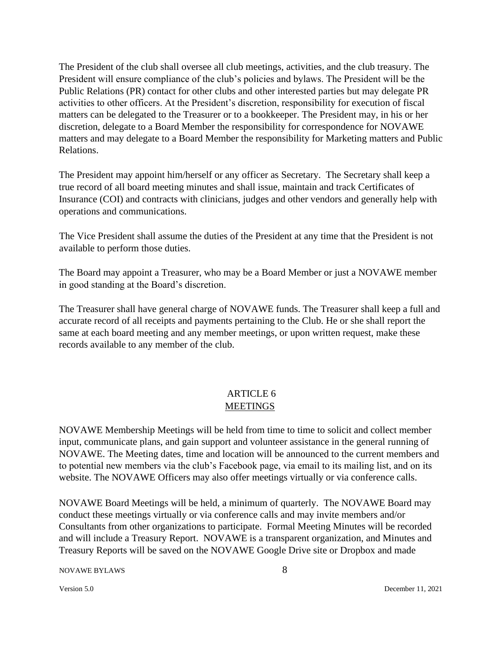The President of the club shall oversee all club meetings, activities, and the club treasury. The President will ensure compliance of the club's policies and bylaws. The President will be the Public Relations (PR) contact for other clubs and other interested parties but may delegate PR activities to other officers. At the President's discretion, responsibility for execution of fiscal matters can be delegated to the Treasurer or to a bookkeeper. The President may, in his or her discretion, delegate to a Board Member the responsibility for correspondence for NOVAWE matters and may delegate to a Board Member the responsibility for Marketing matters and Public Relations.

The President may appoint him/herself or any officer as Secretary. The Secretary shall keep a true record of all board meeting minutes and shall issue, maintain and track Certificates of Insurance (COI) and contracts with clinicians, judges and other vendors and generally help with operations and communications.

The Vice President shall assume the duties of the President at any time that the President is not available to perform those duties.

The Board may appoint a Treasurer, who may be a Board Member or just a NOVAWE member in good standing at the Board's discretion.

The Treasurer shall have general charge of NOVAWE funds. The Treasurer shall keep a full and accurate record of all receipts and payments pertaining to the Club. He or she shall report the same at each board meeting and any member meetings, or upon written request, make these records available to any member of the club.

# ARTICLE 6 MEETINGS

NOVAWE Membership Meetings will be held from time to time to solicit and collect member input, communicate plans, and gain support and volunteer assistance in the general running of NOVAWE. The Meeting dates, time and location will be announced to the current members and to potential new members via the club's Facebook page, via email to its mailing list, and on its website. The NOVAWE Officers may also offer meetings virtually or via conference calls.

NOVAWE Board Meetings will be held, a minimum of quarterly. The NOVAWE Board may conduct these meetings virtually or via conference calls and may invite members and/or Consultants from other organizations to participate. Formal Meeting Minutes will be recorded and will include a Treasury Report. NOVAWE is a transparent organization, and Minutes and Treasury Reports will be saved on the NOVAWE Google Drive site or Dropbox and made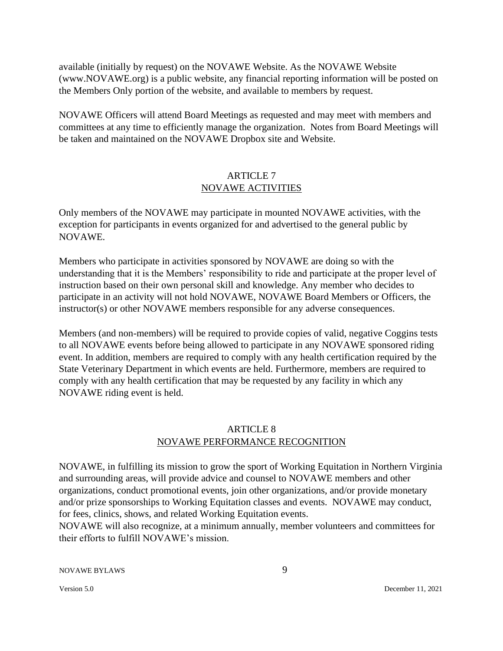available (initially by request) on the NOVAWE Website. As the NOVAWE Website (www.NOVAWE.org) is a public website, any financial reporting information will be posted on the Members Only portion of the website, and available to members by request.

NOVAWE Officers will attend Board Meetings as requested and may meet with members and committees at any time to efficiently manage the organization. Notes from Board Meetings will be taken and maintained on the NOVAWE Dropbox site and Website.

# ARTICLE 7 NOVAWE ACTIVITIES

Only members of the NOVAWE may participate in mounted NOVAWE activities, with the exception for participants in events organized for and advertised to the general public by NOVAWE.

Members who participate in activities sponsored by NOVAWE are doing so with the understanding that it is the Members' responsibility to ride and participate at the proper level of instruction based on their own personal skill and knowledge. Any member who decides to participate in an activity will not hold NOVAWE, NOVAWE Board Members or Officers, the instructor(s) or other NOVAWE members responsible for any adverse consequences.

Members (and non-members) will be required to provide copies of valid, negative Coggins tests to all NOVAWE events before being allowed to participate in any NOVAWE sponsored riding event. In addition, members are required to comply with any health certification required by the State Veterinary Department in which events are held. Furthermore, members are required to comply with any health certification that may be requested by any facility in which any NOVAWE riding event is held.

# ARTICLE 8 NOVAWE PERFORMANCE RECOGNITION

NOVAWE, in fulfilling its mission to grow the sport of Working Equitation in Northern Virginia and surrounding areas, will provide advice and counsel to NOVAWE members and other organizations, conduct promotional events, join other organizations, and/or provide monetary and/or prize sponsorships to Working Equitation classes and events. NOVAWE may conduct, for fees, clinics, shows, and related Working Equitation events.

NOVAWE will also recognize, at a minimum annually, member volunteers and committees for their efforts to fulfill NOVAWE's mission.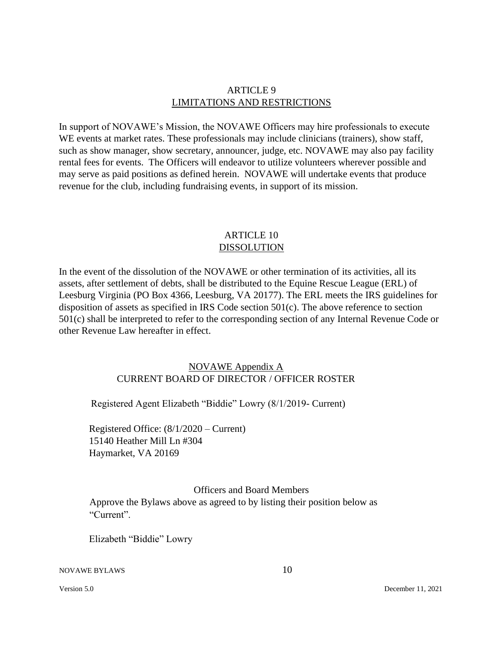### ARTICLE 9 LIMITATIONS AND RESTRICTIONS

In support of NOVAWE's Mission, the NOVAWE Officers may hire professionals to execute WE events at market rates. These professionals may include clinicians (trainers), show staff, such as show manager, show secretary, announcer, judge, etc. NOVAWE may also pay facility rental fees for events. The Officers will endeavor to utilize volunteers wherever possible and may serve as paid positions as defined herein. NOVAWE will undertake events that produce revenue for the club, including fundraising events, in support of its mission.

### ARTICLE 10 DISSOLUTION

In the event of the dissolution of the NOVAWE or other termination of its activities, all its assets, after settlement of debts, shall be distributed to the Equine Rescue League (ERL) of Leesburg Virginia (PO Box 4366, Leesburg, VA 20177). The ERL meets the IRS guidelines for disposition of assets as specified in IRS Code section 501(c). The above reference to section 501(c) shall be interpreted to refer to the corresponding section of any Internal Revenue Code or other Revenue Law hereafter in effect.

# NOVAWE Appendix A CURRENT BOARD OF DIRECTOR / OFFICER ROSTER

Registered Agent Elizabeth "Biddie" Lowry (8/1/2019- Current)

Registered Office: (8/1/2020 – Current) 15140 Heather Mill Ln #304 Haymarket, VA 20169

# Officers and Board Members

Approve the Bylaws above as agreed to by listing their position below as "Current".

Elizabeth "Biddie" Lowry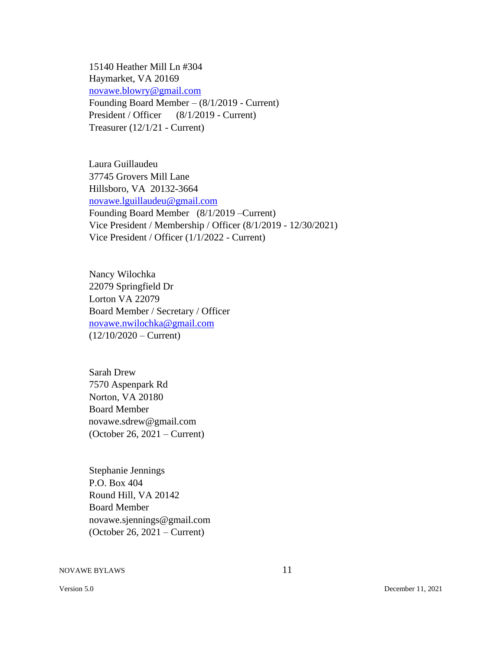15140 Heather Mill Ln #304 Haymarket, VA 20169 novawe.blowry@gmail.com Founding Board Member – (8/1/2019 - Current) President / Officer (8/1/2019 - Current) Treasurer (12/1/21 - Current)

Laura Guillaudeu 37745 Grovers Mill Lane Hillsboro, VA 20132-3664 novawe.lguillaudeu@gmail.com Founding Board Member (8/1/2019 –Current) Vice President / Membership / Officer (8/1/2019 - 12/30/2021) Vice President / Officer (1/1/2022 - Current)

Nancy Wilochka 22079 Springfield Dr Lorton VA 22079 Board Member / Secretary / Officer novawe.nwilochka@gmail.com  $(12/10/2020 -$ Current)

Sarah Drew 7570 Aspenpark Rd Norton, VA 20180 Board Member novawe.sdrew@gmail.com (October 26, 2021 – Current)

Stephanie Jennings P.O. Box 404 Round Hill, VA 20142 Board Member novawe.sjennings@gmail.com (October 26, 2021 – Current)